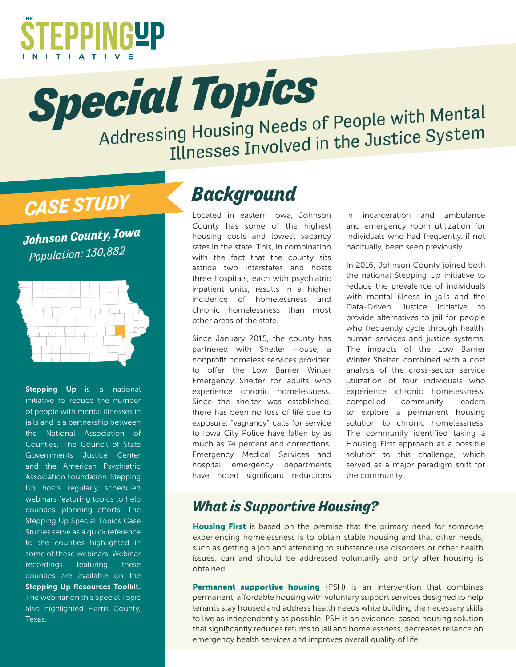

**Special Topics**<br>Addressing Housing Needs of People with Mental Illnesses Involved in the Justice System

# *CASE STUDY*

*Johnson County, Iowa Population: 130,882*



Stepping Up is a national initiative to reduce the number of people with mental illnesses in jails and is a partnership between the National Association of Counties, The Council of State Governments Justice Center and the American Psychiatric Association Foundation. Stepping Up hosts regularly scheduled webinars featuring topics to help counties' planning efforts. The Stepping Up Special Topics Case Studies serve as a quick reference to the counties highlighted in some of these webinars. Webinar recordings featuring these counties are available on the Stepping Up Resources Toolkit. The webinar on this Special Topic also highlighted Harris County, Texas.

## *Background*

Located in eastern Iowa, Johnson County has some of the highest housing costs and lowest vacancy rates in the state. This, in combination with the fact that the county sits astride two interstates and hosts three hospitals, each with psychiatric inpatient units, results in a higher incidence of homelessness and chronic homelessness than most other areas of the state.

Since January 2015, the county has partnered with Shelter House, a nonprofit homeless services provider, to offer the Low Barrier Winter Emergency Shelter for adults who experience chronic homelessness. Since the shelter was established, there has been no loss of life due to exposure, "vagrancy" calls for service to Iowa City Police have fallen by as much as 74 percent and corrections, Emergency Medical Services and hospital emergency departments have noted significant reductions

in incarceration and ambulance and emergency room utilization for individuals who had frequently, if not habitually, been seen previously.

In 2016, Johnson County joined both the national Stepping Up initiative to reduce the prevalence of individuals with mental illness in jails and the Data-Driven Justice initiative to provide alternatives to jail for people who frequently cycle through health, human services and justice systems. The impacts of the Low Barrier Winter Shelter, combined with a cost analysis of the cross-sector service utilization of four individuals who experience chronic homelessness, compelled community leaders to explore a permanent housing solution to chronic homelessness. The community identified taking a Housing First approach as a possible solution to this challenge, which served as a major paradigm shift for the community.

#### *What is Supportive Housing?*

**Housing First** is based on the premise that the primary need for someone experiencing homelessness is to obtain stable housing and that other needs, such as getting a job and attending to substance use disorders or other health issues, can and should be addressed voluntarily and only after housing is obtained.

Permanent supportive housing (PSH) is an intervention that combines permanent, affordable housing with voluntary support services designed to help tenants stay housed and address health needs while building the necessary skills to live as independently as possible. PSH is an evidence-based housing solution that significantly reduces returns to jail and homelessness, decreases reliance on emergency health services and improves overall quality of life.